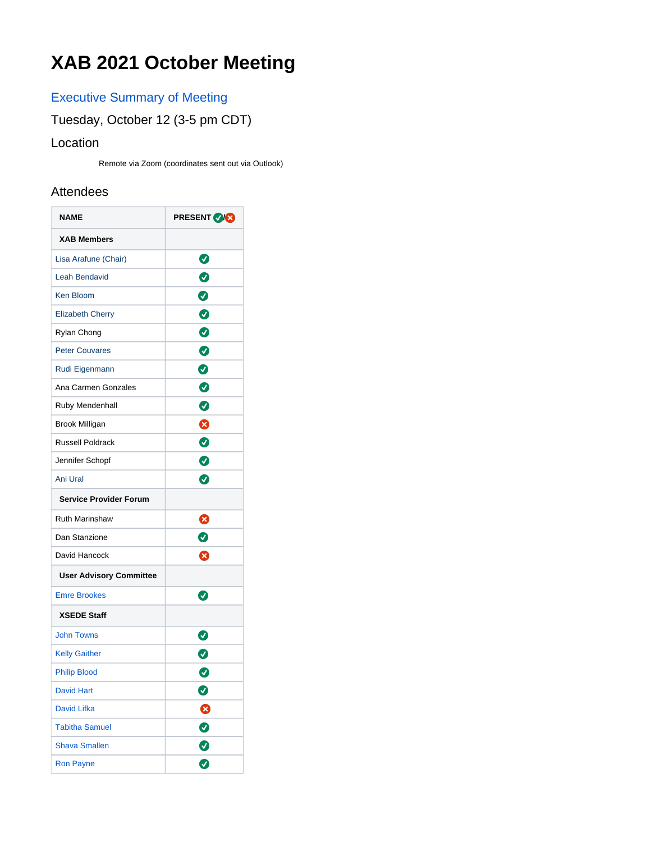# **XAB 2021 October Meeting**

## [Executive Summary of Meeting](https://confluence.xsede.org/download/attachments/44271717/XAB%20Summary%20October%202021.pdf?version=1&modificationDate=1642782585000&api=v2)

### Tuesday, October 12 (3-5 pm CDT)

#### Location

Remote via Zoom (coordinates sent out via Outlook)

#### Attendees

| <b>NAME</b>                    | <b>PRESENT ORG</b> |  |
|--------------------------------|--------------------|--|
| <b>XAB Members</b>             |                    |  |
| Lisa Arafune (Chair)           | Ø                  |  |
| <b>Leah Bendavid</b>           | $\bullet$          |  |
| <b>Ken Bloom</b>               | Ø                  |  |
| <b>Elizabeth Cherry</b>        | $\bullet$          |  |
| Rylan Chong                    | $\bullet$          |  |
| <b>Peter Couvares</b>          | $\bullet$          |  |
| Rudi Eigenmann                 | $\bullet$          |  |
| Ana Carmen Gonzales            | $\bullet$          |  |
| Ruby Mendenhall                | ◙                  |  |
| <b>Brook Milligan</b>          | 0                  |  |
| <b>Russell Poldrack</b>        | $\bm{O}$           |  |
| Jennifer Schopf                | $\bullet$          |  |
| Ani Ural                       | ◙                  |  |
| <b>Service Provider Forum</b>  |                    |  |
| <b>Ruth Marinshaw</b>          | ⊗                  |  |
| Dan Stanzione                  | ◙                  |  |
| David Hancock                  | ೞ                  |  |
| <b>User Advisory Committee</b> |                    |  |
| <b>Emre Brookes</b>            | Ø                  |  |
| <b>XSEDE Staff</b>             |                    |  |
| <b>John Towns</b>              | Ø                  |  |
| <b>Kelly Gaither</b>           | Ø                  |  |
| <b>Philip Blood</b>            | 0                  |  |
| <b>David Hart</b>              | Ø                  |  |
| <b>David Lifka</b>             | ☺                  |  |
| <b>Tabitha Samuel</b>          | $\bullet$          |  |
| <b>Shava Smallen</b>           | $\bullet$          |  |
| <b>Ron Payne</b>               | 0                  |  |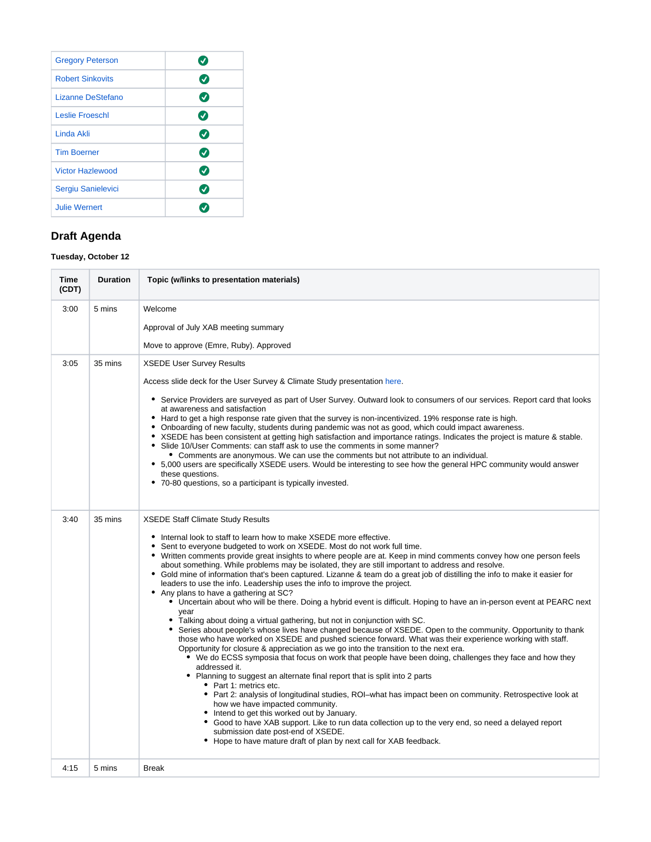| <b>Gregory Peterson</b> | ✔             |
|-------------------------|---------------|
| <b>Robert Sinkovits</b> | $\bm{C}$      |
| Lizanne DeStefano       | $\bm{C}$      |
| <b>Leslie Froeschl</b>  | Ø             |
| Linda Akli              | $\bm{C}$      |
| <b>Tim Boerner</b>      | $\bm{\sigma}$ |
| <b>Victor Hazlewood</b> | $\bm{U}$      |
| Sergiu Sanielevici      | $\bm{v}$      |
| <b>Julie Wernert</b>    |               |

#### **Draft Agenda**

#### **Tuesday, October 12**

| <b>Time</b><br>(CDT) | <b>Duration</b> | Topic (w/links to presentation materials)                                                                                                                                                                                                                                                                                                                                                                                                                                                                                                                                                                                                                                                                                                                                                                                                                                                                                                                                                                                                                                                                                                                                                                                                                                                                                                                                                                                                                                                                                                                                                                                                                                                                                                                                                                                                                                            |
|----------------------|-----------------|--------------------------------------------------------------------------------------------------------------------------------------------------------------------------------------------------------------------------------------------------------------------------------------------------------------------------------------------------------------------------------------------------------------------------------------------------------------------------------------------------------------------------------------------------------------------------------------------------------------------------------------------------------------------------------------------------------------------------------------------------------------------------------------------------------------------------------------------------------------------------------------------------------------------------------------------------------------------------------------------------------------------------------------------------------------------------------------------------------------------------------------------------------------------------------------------------------------------------------------------------------------------------------------------------------------------------------------------------------------------------------------------------------------------------------------------------------------------------------------------------------------------------------------------------------------------------------------------------------------------------------------------------------------------------------------------------------------------------------------------------------------------------------------------------------------------------------------------------------------------------------------|
| 3:00                 | 5 mins          | Welcome                                                                                                                                                                                                                                                                                                                                                                                                                                                                                                                                                                                                                                                                                                                                                                                                                                                                                                                                                                                                                                                                                                                                                                                                                                                                                                                                                                                                                                                                                                                                                                                                                                                                                                                                                                                                                                                                              |
|                      |                 | Approval of July XAB meeting summary                                                                                                                                                                                                                                                                                                                                                                                                                                                                                                                                                                                                                                                                                                                                                                                                                                                                                                                                                                                                                                                                                                                                                                                                                                                                                                                                                                                                                                                                                                                                                                                                                                                                                                                                                                                                                                                 |
|                      |                 | Move to approve (Emre, Ruby). Approved                                                                                                                                                                                                                                                                                                                                                                                                                                                                                                                                                                                                                                                                                                                                                                                                                                                                                                                                                                                                                                                                                                                                                                                                                                                                                                                                                                                                                                                                                                                                                                                                                                                                                                                                                                                                                                               |
| 3:05                 | 35 mins         | <b>XSEDE User Survey Results</b>                                                                                                                                                                                                                                                                                                                                                                                                                                                                                                                                                                                                                                                                                                                                                                                                                                                                                                                                                                                                                                                                                                                                                                                                                                                                                                                                                                                                                                                                                                                                                                                                                                                                                                                                                                                                                                                     |
|                      |                 | Access slide deck for the User Survey & Climate Study presentation here.<br>• Service Providers are surveyed as part of User Survey. Outward look to consumers of our services. Report card that looks<br>at awareness and satisfaction<br>• Hard to get a high response rate given that the survey is non-incentivized. 19% response rate is high.<br>• Onboarding of new faculty, students during pandemic was not as good, which could impact awareness.<br>• XSEDE has been consistent at getting high satisfaction and importance ratings. Indicates the project is mature & stable.<br>• Slide 10/User Comments: can staff ask to use the comments in some manner?<br>• Comments are anonymous. We can use the comments but not attribute to an individual.<br>• 5,000 users are specifically XSEDE users. Would be interesting to see how the general HPC community would answer<br>these questions.<br>• 70-80 questions, so a participant is typically invested.                                                                                                                                                                                                                                                                                                                                                                                                                                                                                                                                                                                                                                                                                                                                                                                                                                                                                                            |
| 3:40                 | 35 mins         | <b>XSEDE Staff Climate Study Results</b><br>• Internal look to staff to learn how to make XSEDE more effective.<br>Sent to everyone budgeted to work on XSEDE. Most do not work full time.<br>$\bullet$<br>• Written comments provide great insights to where people are at. Keep in mind comments convey how one person feels<br>about something. While problems may be isolated, they are still important to address and resolve.<br>• Gold mine of information that's been captured. Lizanne & team do a great job of distilling the info to make it easier for<br>leaders to use the info. Leadership uses the info to improve the project.<br>• Any plans to have a gathering at SC?<br>• Uncertain about who will be there. Doing a hybrid event is difficult. Hoping to have an in-person event at PEARC next<br>year<br>• Talking about doing a virtual gathering, but not in conjunction with SC.<br>Series about people's whose lives have changed because of XSEDE. Open to the community. Opportunity to thank<br>those who have worked on XSEDE and pushed science forward. What was their experience working with staff.<br>Opportunity for closure & appreciation as we go into the transition to the next era.<br>• We do ECSS symposia that focus on work that people have been doing, challenges they face and how they<br>addressed it.<br>• Planning to suggest an alternate final report that is split into 2 parts<br>• Part 1: metrics etc.<br>• Part 2: analysis of longitudinal studies, ROI-what has impact been on community. Retrospective look at<br>how we have impacted community.<br>• Intend to get this worked out by January.<br>• Good to have XAB support. Like to run data collection up to the very end, so need a delayed report<br>submission date post-end of XSEDE.<br>• Hope to have mature draft of plan by next call for XAB feedback. |
| 4:15                 | 5 mins          | <b>Break</b>                                                                                                                                                                                                                                                                                                                                                                                                                                                                                                                                                                                                                                                                                                                                                                                                                                                                                                                                                                                                                                                                                                                                                                                                                                                                                                                                                                                                                                                                                                                                                                                                                                                                                                                                                                                                                                                                         |